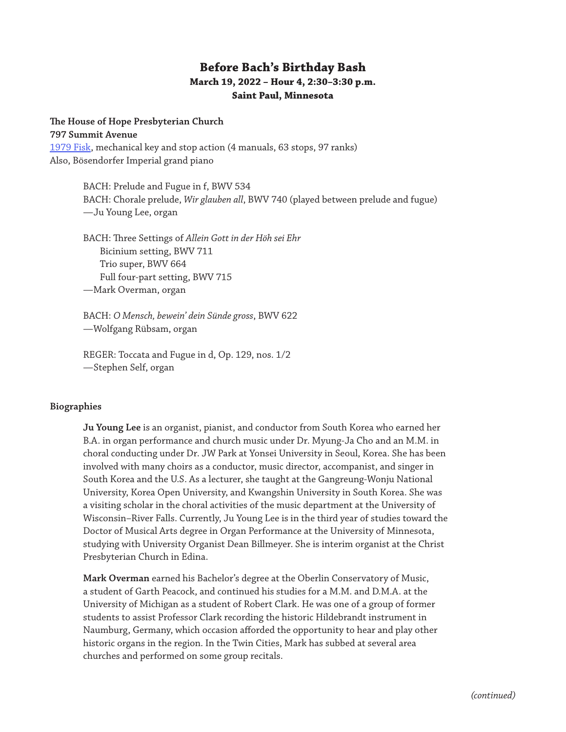# **Before Bach's Birthday Bash March 19, 2022 – Hour 4, 2:30–3:30 p.m. Saint Paul, Minnesota**

#### **The House of Hope Presbyterian Church**

**797 Summit Avenue** [1979 Fisk](https://www.pipeorganlist.com/OrganList/datamn/MNStPaulHouseOfHopeFisk.html), mechanical key and stop action (4 manuals, 63 stops, 97 ranks) Also, Bösendorfer Imperial grand piano

> BACH: Prelude and Fugue in f, BWV 534 BACH: Chorale prelude, *Wir glauben all*, BWV 740 (played between prelude and fugue) —Ju Young Lee, organ

BACH: Three Settings of *Allein Gott in der Höh sei Ehr* Bicinium setting, BWV 711 Trio super, BWV 664 Full four-part setting, BWV 715 —Mark Overman, organ

BACH: *O Mensch, bewein' dein Sünde gross*, BWV 622 —Wolfgang Rübsam, organ

REGER: Toccata and Fugue in d, Op. 129, nos. 1/2 —Stephen Self, organ

### **Biographies**

**Ju Young Lee** is an organist, pianist, and conductor from South Korea who earned her B.A. in organ performance and church music under Dr. Myung-Ja Cho and an M.M. in choral conducting under Dr. JW Park at Yonsei University in Seoul, Korea. She has been involved with many choirs as a conductor, music director, accompanist, and singer in South Korea and the U.S. As a lecturer, she taught at the Gangreung-Wonju National University, Korea Open University, and Kwangshin University in South Korea. She was a visiting scholar in the choral activities of the music department at the University of Wisconsin–River Falls. Currently, Ju Young Lee is in the third year of studies toward the Doctor of Musical Arts degree in Organ Performance at the University of Minnesota, studying with University Organist Dean Billmeyer. She is interim organist at the Christ Presbyterian Church in Edina.

**Mark Overman** earned his Bachelor's degree at the Oberlin Conservatory of Music, a student of Garth Peacock, and continued his studies for a M.M. and D.M.A. at the University of Michigan as a student of Robert Clark. He was one of a group of former students to assist Professor Clark recording the historic Hildebrandt instrument in Naumburg, Germany, which occasion afforded the opportunity to hear and play other historic organs in the region. In the Twin Cities, Mark has subbed at several area churches and performed on some group recitals.